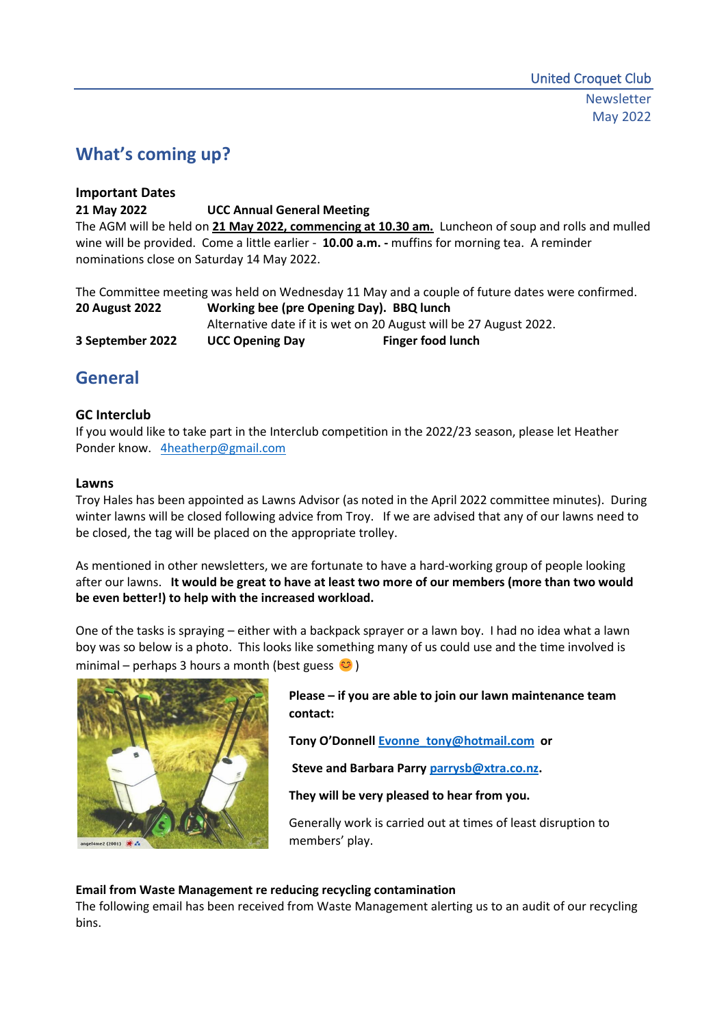# **What's coming up?**

## **Important Dates**

#### **21 May 2022 UCC Annual General Meeting**

The AGM will be held on **21 May 2022, commencing at 10.30 am.** Luncheon of soup and rolls and mulled wine will be provided. Come a little earlier - **10.00 a.m. -** muffins for morning tea. A reminder nominations close on Saturday 14 May 2022.

The Committee meeting was held on Wednesday 11 May and a couple of future dates were confirmed. **20 August 2022 Working bee (pre Opening Day). BBQ lunch** Alternative date if it is wet on 20 August will be 27 August 2022. **3 September 2022 UCC Opening Day Finger food lunch**

## **General**

## **GC Interclub**

If you would like to take part in the Interclub competition in the 2022/23 season, please let Heather Ponder know. [4heatherp@gmail.com](mailto:4heatherp@gmail.com)

#### **Lawns**

Troy Hales has been appointed as Lawns Advisor (as noted in the April 2022 committee minutes). During winter lawns will be closed following advice from Troy. If we are advised that any of our lawns need to be closed, the tag will be placed on the appropriate trolley.

As mentioned in other newsletters, we are fortunate to have a hard-working group of people looking after our lawns. **It would be great to have at least two more of our members (more than two would be even better!) to help with the increased workload.** 

One of the tasks is spraying – either with a backpack sprayer or a lawn boy. I had no idea what a lawn boy was so below is a photo. This looks like something many of us could use and the time involved is minimal – perhaps 3 hours a month (best guess  $\bigcirc$ )



**Please – if you are able to join our lawn maintenance team contact:**

**Tony O'Donnell [Evonne\\_tony@hotmail.com](mailto:Evonne_tony@hotmail.com) or**

**Steve and Barbara Parry [parrysb@xtra.co.nz.](mailto:parrysb@xtra.co.nz)**

**They will be very pleased to hear from you.**

Generally work is carried out at times of least disruption to members' play.

#### **Email from Waste Management re reducing recycling contamination**

The following email has been received from Waste Management alerting us to an audit of our recycling bins.